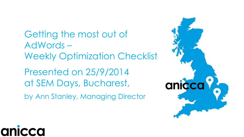Getting the most out of AdWords – Weekly Optimization Checklist Presented on 25/9/2014 at SEM Days, Bucharest, by Ann Stanley, Managing Director

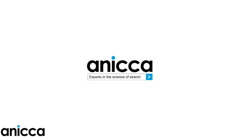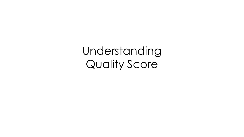Understanding Quality Score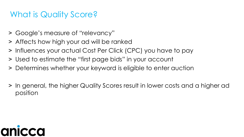#### What is Quality Score?

- ˃ Google's measure of "relevancy"
- ˃ Affects how high your ad will be ranked
- ˃ Influences your actual Cost Per Click (CPC) you have to pay
- ˃ Used to estimate the "first page bids" in your account
- ˃ Determines whether your keyword is eligible to enter auction
- In general, the higher Quality Scores result in lower costs and a higher ad position

# an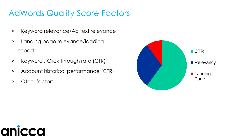#### AdWords Quality Score Factors

- ˃ Keyword relevance/Ad text relevance
- > Landing page relevance/loading speed
- > Keyword's Click through rate (CTR)
- > Account historical performance (CTR)
- > Other factors



### a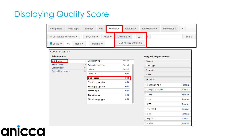#### Displaying Quality Score

| Campaigns                                   | Ad groups         | <b>Settings</b> | Ads            | Keywords       | <b>Audiences</b>                      | Ad extensions | <b>Dimensions</b> | $\overline{\phantom{a}}$ |
|---------------------------------------------|-------------------|-----------------|----------------|----------------|---------------------------------------|---------------|-------------------|--------------------------|
| All but deleted keywords ▼                  |                   | Segment $\star$ |                | Filter $\star$ | $\overline{\phantom{a}}$<br>Columns ▼ |               |                   | Search                   |
| $\blacksquare$ Clicks $\blacktriangleright$ | VS<br>None $\sim$ |                 | Monthly $\sim$ |                | Customize columns                     |               |                   |                          |

| Customize columns                           |       |                          |       |                         |
|---------------------------------------------|-------|--------------------------|-------|-------------------------|
| <b>Select metrics</b>                       |       |                          |       | <b>Drag</b>             |
| <b>Attributes</b>                           | $\gg$ | Campaign type            | Added | Key                     |
| Performance                                 | $\gg$ | Campaign subtype         | Added | Can                     |
| <b>Bid simulator</b><br>Competitive metrics | $\gg$ | Labels                   | Added | Ad g                    |
|                                             | $\gg$ | Dest. URL                | Add   | Stat                    |
|                                             |       | Qual. score              | Add   | Max                     |
|                                             |       | Est. first page bid      | Add   |                         |
|                                             |       | Est. top page bid        | Add   | $\mathop{\parallel}$ Ca |
|                                             |       | <b>Match type</b>        | Add   | ∰ Ca                    |
|                                             |       | <b>Bid strategy</b>      | Add   | $\mathop{  }$ Cli       |
|                                             |       | <b>Bid strategy type</b> | Add   | ∰ Im                    |
|                                             |       |                          |       | ें टा                   |
|                                             |       |                          |       | $\mathbb{R}$ Av         |
|                                             |       |                          |       | ‼ Co                    |
|                                             |       |                          |       | $\mathbb{R}$ Av         |

| Drag and drop to reorder |        |
|--------------------------|--------|
| Keyword                  |        |
| Campaign                 |        |
| Ad group                 |        |
| <b>Status</b>            |        |
| Max. CPC                 |        |
| Ħ.<br>Campaign type      | Remove |
| B.<br>Campaign subtype   | Remove |
| Ħ.<br>Clicks             | Remove |
| Ħ.<br>Impr.              | Remove |
| II.<br><b>CTR</b>        | Remove |
| B<br>Avg. CPC            | Remove |
| Ħ.<br>Cost               | Remove |
| Ħ.<br>Avg. Pos.          | Remove |
| II.<br>Labels            | Remove |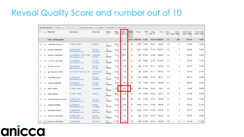#### Reveal Quality Score and number out of 10

|                          |   | $E$ dit $\blacktriangledown$<br>+ Add keywords | Change status -<br>See search terms                | Alerts $-$                    | Automate -           |                                     | More actions * |                    |                 |                       |                     |                 |      |                                    |                                      |                             |
|--------------------------|---|------------------------------------------------|----------------------------------------------------|-------------------------------|----------------------|-------------------------------------|----------------|--------------------|-----------------|-----------------------|---------------------|-----------------|------|------------------------------------|--------------------------------------|-----------------------------|
|                          |   | Keyword                                        | Campaign                                           | Ad group                      | <b>Status</b><br>(2) | Max.<br>CPC.                        | Qual.<br>score | <b>Clicks</b><br>2 | Impr.           | <b>CTR</b><br>$\odot$ | Avg.<br>$CPC$ $(2)$ | Cost            | Avg. | Conv.<br>Pos. (1-per-click)<br>(2) | Cost / conv.<br>(1-per-click)<br>(2) | Conv. rate<br>(1-per-click) |
|                          |   | <b>Total - all keywords</b>                    |                                                    |                               |                      |                                     |                |                    | 5,819 2,619,229 | 0.22%                 |                     | £1.35 £7,848.00 | 1.7  | 289                                | £27.15                               | 4.97%                       |
|                          |   | vocational courses                             | 0. Trade / Skills                                  | Training                      | ঢ়<br>Eligible       | £0.61<br>$\boldsymbol{\mathcal{N}}$ | 5/10           | 58                 | 4.209           | 1.38%                 | £0.50               | £29.20          | 2.9  | 2                                  | £14.60                               | 3.45%                       |
|                          | ۰ | courses electrician                            | 0.3 Electrician<br>(RFTraining.co.uk)              | Courses<br>electrician        | لـها<br>Eligible     | £2.50                               | 6/10           | 57                 | 3.614           | 1.58%                 | £2.15               | £122.51         | 5.3  | 3                                  | £40.84                               | 5.26%                       |
| $\Box$                   |   | plumber certification                          | 0.1 Plumbing - Click to Call<br>(RFTraining.co.uk) | Certificate<br>Plumber        | Q<br>Eligible        | £1.91<br>$\overline{\mathcal{N}}$   | 10/10          | 57                 |                 | 450 12.67%            | £1.06               | £60.65          | 1.2  | 3                                  | £20.22                               | 5.26%                       |
| $\overline{\phantom{a}}$ | ۰ | courses in plumbing                            | 0.1 Plumbing<br>(RFTraining.co.uk)                 | Courses<br>Plumbing           | U<br>Eligible        | £2.76<br>W                          | 6/10           | 57                 | 674             | 8.46%                 | £2.30               | £130.96         | 2.3  | 5                                  | £26.19                               | 8.77%                       |
| $\Box$                   |   | plumber courses                                | 0.1 Plumbing<br>(RFTraining.co.uk)                 | Courses<br>Plumber            | ٢<br>Eligible        | £1.90<br>M                          | 7/10           | 55                 | 820             | 6.71%                 | £1.57               | £86.25          | 2.5  | 3                                  | £28.75                               | 5.45%                       |
|                          |   | gas engineer school                            | 0.2 Gas (RFTraining.co.uk)                         | Schools gas<br>engineer       | U<br>Eligible        | £3.23<br>$\overline{\mathcal{N}}$   | 7/10           | 47                 | 544             | 8.64%                 | £2.32               | £109.03         | 1.9  | 4                                  | £27.26                               | 8.51%                       |
| $\Box$                   | ۰ | "plumbing course"                              | 0.1 Plumbing<br>(RFTraining.co.uk)                 | <b>Courses</b><br>Plumbing    | U<br>Eligible        | £2.28<br>$\sim$                     | 7/10           | 45                 | 559             | 8.05%                 | £1.85               | £83.11          | 2.3  | 1                                  | £83.11                               | 2.22%                       |
|                          |   | +course +plumber                               | 0.1 Plumbing<br>(RFTraining.co.uk)                 | Courses<br>Plumber            | Q<br>Eligible        | £2.35                               | 7/10           | 43                 | 574             | 7.49%                 | £1.87               | £80.39          | 2.4  | 4                                  | £20.10                               | 9.30%                       |
| $\Box$                   | ۰ | trade 4 skills                                 | 0. Trade / Skills                                  | <b>Competitors</b>            | U<br>Eligible        | £0.6                                | 4/10           | 42                 | 679             | 6.19%                 | £0.22               | £9.21           | 2.6  | $\bf{0}$                           | £0.00                                | 0.00%                       |
| $\Box$                   |   | trade courses                                  | 0. Trade / Skills                                  | Training                      | ↩<br>Eligible        | £0.61<br>M                          | $7/10$         | 42                 | 913             | 4.60%                 | £0.48               | £20.11          | 3.5  | 2                                  | £10.06                               | 4.76%                       |
|                          | ≏ | online electrician courses                     | 0.3 Electrician<br>(RFTraining.co.uk)              | Courses<br>electrician        | ٢<br>Eligible        | £2.25<br>W                          | 10/10          | 40                 | 437             | 9.15%                 | £1.73               | £69.16          | 3.2  | $\overline{2}$                     | £34.58                               | 5.00%                       |
| $\Box$                   | ۰ | college plumbing                               | 0.1 Plumbing<br>(RFTraining.co.uk)                 | College<br>Plumbina           | v<br>Eligible        | £2.10<br>$\sim$                     | 6/10           | 37                 | 2.048           | 1.81%                 | £1.62               | £60.10          | 2.7  | $\overline{2}$                     | £30.05                               | 5.41%                       |
| $\Box$                   |   | electrician course                             | 0.3 Electrician<br>(RFTraining.co.uk)              | <b>Courses</b><br>electrician | Q<br>Eligible        | £2.50<br>$\sim$                     | 7/10           | 34                 | 3.262           | 1.04%                 | £2.23               | £75.87          | 5.3  | 5                                  | £15.17                               | 14.71%                      |
| $\Box$                   |   | course in electrician                          | 0.3 Electrician<br>(RFTraining.co.uk)              | Courses<br>electrician        | U<br>Eligible        | £2.50<br>$\overline{\mathcal{N}}$   | 7/10           | 33                 | 622             | 5.31%                 | £2.15               | £70.81          | 3.6  | 3                                  | £23.60                               | 9.09%                       |
| $\Box$                   |   | part time +plumbing                            | 0.1 Plumbing                                       | Part Time                     | Q<br>mit ut un       | £1.82                               | 7/10           | 30                 |                 | 169 17.75%            | £1.51               | £45.18          | 1.8  | Δ                                  | £11.30                               | 13.33%                      |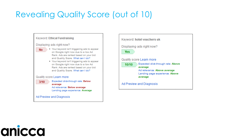#### Revealing Quality Score (out of 10)



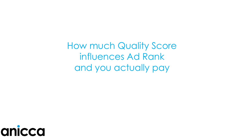How much Quality Score influences Ad Rank and you actually pay

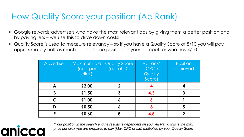#### How Quality Score your position (Ad Rank)

- ˃ Google rewards advertisers who have the most relevant ads by giving them a better position and by paying less – we use this to drive down costs!
- > Quality Score is used to measure relevancy so if you have a Quality Score of 8/10 you will pay approximately half as much for the same position as your competitor who has 4/10

| <b>Advertiser</b> | Maximum bid<br>(cost per<br>click) | <b>Quality Score</b><br>(out of 10) | Ad rank*<br>[CPCx]<br>Quality<br>Score) | <b>Position</b><br>achieved |
|-------------------|------------------------------------|-------------------------------------|-----------------------------------------|-----------------------------|
|                   | £2.00                              |                                     |                                         |                             |
| B                 | £1.50                              | 3                                   | 4.5                                     |                             |
|                   | £1.00                              |                                     | ٥                                       |                             |
| D                 | £0.50                              |                                     |                                         |                             |
|                   | £0.60                              |                                     | 4.8                                     |                             |

anio

*\*Your position in the search engine results is dependent on your Ad Rank, this is the max price per click you are prepared to pay (Max CPC or bid) multiplied by your Quality Score*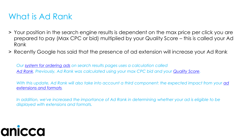#### What is Ad Rank

- ˃ Your position in the search engine results is dependent on the max price per click you are prepared to pay (Max CPC or bid) multiplied by your Quality Score – this is called your Ad Rank
- ˃ Recently Google has said that the presence of ad extension will increase your Ad Rank

*Our [system for ordering ads](https://support.google.com/adwords/answer/1722122?rd=2) on search results pages uses a calculation called [Ad Rank.](https://support.google.com/adwords/answer/1752122) Previously, Ad Rank was calculated using your max CPC bid and your [Quality Score](https://support.google.com/adwords/answer/2454010).* 

*[With this update, Ad Rank will also take into account a third component: the expected impact from your](https://support.google.com/adwords/answer/3333616) ad extensions and formats.* 

*In addition, we've increased the importance of Ad Rank in determining whether your ad is eligible to be displayed with extensions and formats.*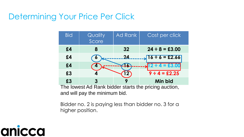#### Determining Your Price Per Click

| <b>Bid</b> | Quality<br>Score | Ad Rank               | Cost per click                                       |
|------------|------------------|-----------------------|------------------------------------------------------|
| £4         | 8                | 32                    | $24 \div 8 = \pounds 3.00$                           |
| £4         |                  | 24                    | $16 \div 6 = \pounds 2.66$                           |
| £4         |                  | Ō.                    | $12 \div 4 = £3.00$                                  |
| £3         |                  | $\mathbf{2}^{\prime}$ | $9 \div 4 = \pounds 2.25$                            |
| £3         |                  |                       | Min bid                                              |
|            |                  |                       | The lowest Ad Rank bidder starts the pricing auction |

The lowest Ad Rank bidder starts the pricing auction, and will pay the minimum bid.

Bidder no. 2 is paying less than bidder no. 3 for a higher position.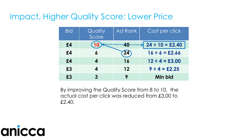#### Impact, Higher Quality Score: Lower Price

| <b>Bid</b> | Quality<br>Score | Ad Rank    | Cost per click              |
|------------|------------------|------------|-----------------------------|
| £4         |                  | <b>40-</b> | $24 \div 10 = \pounds 2.40$ |
| £4         | 6                | 24)        | $16 \div 6 = \pounds2.66$   |
| £4         | 4                | 16         | $12 \div 4 = \pounds3.00$   |
| £3         | 4                | 12         | $9 \div 4 = \pounds 2.25$   |
| £3         | 3                |            | Min bid                     |

By improving the Quality Score from 8 to 10, the actual cost per click was reduced from £3.00 to £2.40.

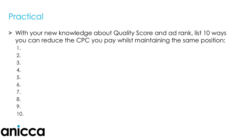#### **Practical**

- ˃ With your new knowledge about Quality Score and ad rank, list 10 ways you can reduce the CPC you pay whilst maintaining the same position:
	- 1. 2.
	- 3.
	-
	- 4.
	- 5.
	-
	- 6.
	- 7.
	- 8.
	- 9.
	- 10.

# a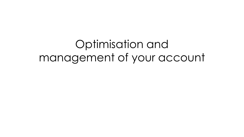### Optimisation and management of your account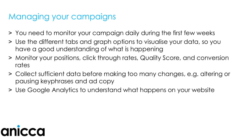#### Managing your campaigns

- > You need to monitor your campaign daily during the first few weeks
- ˃ Use the different tabs and graph options to visualise your data, so you have a good understanding of what is happening
- ˃ Monitor your positions, click through rates, Quality Score, and conversion rates
- ˃ Collect sufficient data before making too many changes, e.g. altering or pausing keyphrases and ad copy
- ˃ Use Google Analytics to understand what happens on your website

# anic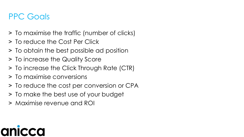#### PPC Goals

- ˃ To maximise the traffic (number of clicks)
- ˃ To reduce the Cost Per Click
- ˃ To obtain the best possible ad position
- ˃ To increase the Quality Score
- ˃ To increase the Click Through Rate (CTR)
- ˃ To maximise conversions
- ˃ To reduce the cost per conversion or CPA
- ˃ To make the best use of your budget
- ˃ Maximise revenue and ROI

## anı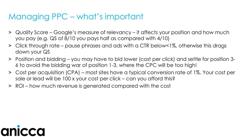#### Managing PPC – what's important

- ˃ Quality Score Google's measure of relevancy it affects your position and how much you pay (e.g. QS of 8/10 you pays half as compared with 4/10)
- ˃ Click through rate pause phrases and ads with a CTR below<1%, otherwise this drags down your QS
- ˃ Position and bidding you may have to bid lower (cost per click) and settle for position 3- 6 to avoid the bidding war of position 1-3, where the CPC will be too high!
- ˃ Cost per acquisition (CPA) most sites have a typical conversion rate of 1%. Your cost per sale or lead will be 100 x your cost per click – can you afford this?
- ˃ ROI how much revenue is generated compared with the cost

# anicco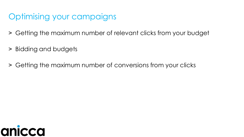#### Optimising your campaigns

- ˃ Getting the maximum number of relevant clicks from your budget
- ˃ Bidding and budgets
- ˃ Getting the maximum number of conversions from your clicks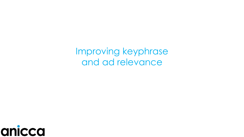Improving keyphrase and ad relevance

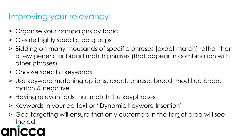#### Improving your relevancy

- ˃ Organise your campaigns by topic
- ˃ Create highly specific ad groups
- > Bidding on many thousands of specific phrases [exact match] rather than a few generic or broad match phrases (that appear in combination with other phrases)
- ˃ Choose specific keywords
- ˃ Use keyword matching options: exact, phrase, broad, modified broad match & negative
- ˃ Having relevant ads that match the keyphrases
- ˃ Keywords in your ad text or "Dynamic Keyword Insertion"
- ˃ Geo-targeting will ensure that only customers in the target area will see the ad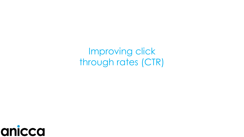Improving click through rates (CTR)

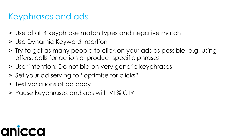#### Keyphrases and ads

- ˃ Use of all 4 keyphrase match types and negative match
- ˃ Use Dynamic Keyword Insertion
- ˃ Try to get as many people to click on your ads as possible, e.g. using offers, calls for action or product specific phrases
- ˃ User intention: Do not bid on very generic keyphrases
- ˃ Set your ad serving to "optimise for clicks"
- ˃ Test variations of ad copy
- ˃ Pause keyphrases and ads with <1% CTR

# a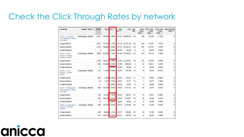#### Check the Click Through Rates by network

| Campaign                                                    |                      | <b>Budget Status @ Clicks</b> |       | Impr.   | CTR 2        | AWI.<br>CPC(2) | Cost      | Avu.<br>Pos. | $(1-per.$<br>click) 2 | Conv. Cost / conv.<br>$(1-per.$<br>click) (?) | Conv. rate<br>(1-per-<br>click) | View-through<br>Conv. (?) |
|-------------------------------------------------------------|----------------------|-------------------------------|-------|---------|--------------|----------------|-----------|--------------|-----------------------|-----------------------------------------------|---------------------------------|---------------------------|
| (2010 - 1.1 London)<br>Geo-targeted - dating<br>& singles   | £550.00/day Eligible |                               | 6,161 | 376,059 | 1.64%        | £1.07          | £6,565.49 | 3.6          | 440                   | £14.92                                        | 7.14%                           | $\bf{0}$                  |
| Google Search                                               |                      |                               | 2,012 | 177,979 | 1.13%        | £1.18          | £2,371.36 | 4.8          | 149                   | £15.91                                        | 7.41%                           | 0                         |
| Search partners                                             |                      |                               | 4,149 | 198,080 | 2.09%        | £1.01          | £4,194.13 | 2.6          | 291                   | £14.41                                        | 7.01%                           | 0                         |
| Content Network                                             |                      |                               | 0     | O       | 0.00%        | £0.00          | £0.00     | $\mathbf{0}$ | 0                     | £0.00                                         | 0.00%                           | 0                         |
| (2010 - 1.2 UK)<br>Search - London<br>Dating & singles      | £250.00/day Eligible |                               | 2,965 | 257,969 | 1.15%        | £1.04          | £3,078.43 | 3.8          | 218                   | £14.12                                        | 7.35%                           | $\bf 0$                   |
| Google Search                                               |                      |                               | 2,105 | 125,331 | 1.68%        | €1.05          | £2,218.34 | 4.6          | 173                   | €12.82                                        | 8.22%                           | 0                         |
| Search partners                                             |                      |                               | 860   | 132,638 | 0.65%        | €1.00          | £860.09   | 3            | 45                    | £19.11                                        | 5.23%                           | 0                         |
| Content Network                                             |                      |                               | 0     | o       | 0.00%        | £0.00          | £0.00     | Ü.           | O                     | €0.00                                         | 0.00%                           | 0                         |
| (2010 - 1.1 UK)<br>Search - London<br>Brand                 | £100.00/day Eligible |                               | 731   |         | 4,295 17.02% | £0.03          | £21.00    | 1.2          | 74                    | £0.28                                         | 10.12%                          | $\mathbf 0$               |
| Google Search                                               |                      |                               | 689   |         | 2.938 23.45% | £0.03          | £20.23    | 1.1          | 73                    | £0.28                                         | 10.60%                          | o                         |
| Search partners                                             |                      |                               | 42    | 1,357   | 3.10%        | €0.02          | £0.77     | 1.2          | 1                     | £0.77                                         | 2.38%                           | o                         |
| Content Network                                             |                      |                               | 0     | ū       | 0.00%        | £0.00          | £0.00     | 0            | o                     | £0.00                                         | 0.00%                           | o                         |
| (2010 - 5.2 Singapore<br>Geo-targeted - dating<br>& singles | £20.00/day Eligible  |                               | 696   | 167,155 | 0.42%        | £0.25          | £172.14   | 4.8          | 46                    | £3.74                                         | 6.61%                           | 0                         |
| Google Search                                               |                      |                               | 154   | 10,793  | 1.43%        | £0.23          | £36.13    | 5.1          | 18                    | £2.01                                         | 11.69%                          | 0                         |
| Search partners                                             |                      |                               | 542   | 156,362 | 0.35%        | £0.25          | €136.01   | 4.8          | 28                    | £4.86                                         | 5.17%                           | 0                         |
| Content Network                                             |                      |                               | 0     | ก       | 0.00%        | £0.00          | £0.00     | 0            | 0                     | £0.00                                         | 0.00%                           | 0                         |
| (2010 - 5.1 Singapore<br>Search - Dating &<br>singles       | £20.00/day Eligible  |                               | 655   | 124,279 | 0.53%        | £0.19          | £126.05   | 3.9          | 45                    | £2.80                                         | 6.87%                           | 0                         |
| Google Search                                               |                      |                               | 340   | 19,806  | 1.72%        | £0.17          | £58.50    | 4.7          | 30                    | £1.95                                         | 8.82%                           | 0                         |
| Search partners                                             |                      |                               | 315   | 104,473 | 0.30%        | £0.21          | £67.55    | 3.8          | 15                    | £4.50                                         | 4.76%                           | Û                         |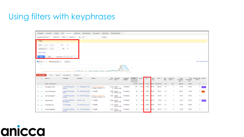#### Using filters with keyphrases

|                      | Campaigns                                          | Ad groups<br><b>Settings</b>                                      | Ads<br><b>Keywords</b>                | <b>Audiences</b><br><b>Ad extensions</b>                               | <b>Auto targets</b><br><b>Dimensions</b>                        | Display Network $\blacktriangledown$ |                     |                 |                 |       |                          |                    |                    |                                  |                                           |                               |                                        |                            |
|----------------------|----------------------------------------------------|-------------------------------------------------------------------|---------------------------------------|------------------------------------------------------------------------|-----------------------------------------------------------------|--------------------------------------|---------------------|-----------------|-----------------|-------|--------------------------|--------------------|--------------------|----------------------------------|-------------------------------------------|-------------------------------|----------------------------------------|----------------------------|
|                      |                                                    | All enabled keywords -<br>Seament -                               | Filter $\sim$<br>Columns $\sim$       | $\overline{\phantom{a}}$<br>$\pm$                                      | Search                                                          |                                      |                     |                 |                 |       |                          |                    |                    |                                  |                                           |                               |                                        |                            |
| $~\cdot$ Filter      |                                                    |                                                                   |                                       |                                                                        |                                                                 |                                      |                     |                 |                 |       |                          |                    |                    |                                  |                                           |                               |                                        |                            |
| <b>CTR</b>           |                                                    | $\sim$ $\sim$<br>$\mathbf{v}$ .                                   | $\times$<br>1%                        |                                                                        |                                                                 |                                      |                     |                 |                 |       |                          |                    |                    |                                  |                                           |                               |                                        |                            |
|                      | Impressions $\blacktriangledown$                   | $> = - \pi$                                                       | 100<br>$\times$                       |                                                                        |                                                                 |                                      |                     |                 |                 |       |                          |                    |                    |                                  |                                           |                               |                                        |                            |
|                      | + Add another                                      |                                                                   |                                       |                                                                        |                                                                 |                                      |                     |                 |                 |       |                          |                    |                    |                                  |                                           |                               |                                        |                            |
|                      | <b>Apply</b>                                       | Clear                                                             | Save filter Enter filter name         |                                                                        |                                                                 |                                      |                     |                 |                 |       |                          |                    |                    |                                  |                                           |                               |                                        |                            |
|                      |                                                    |                                                                   |                                       |                                                                        |                                                                 |                                      |                     |                 |                 |       |                          |                    |                    |                                  |                                           |                               |                                        | <b>View Change History</b> |
|                      | $\blacksquare$ Clicks $\blacktriangleright$<br>100 | $\blacksquare$ Converted clicks $\blacktriangledown$<br><b>VS</b> | Monthly $\blacktriangledown$          |                                                                        |                                                                 |                                      |                     |                 |                 |       |                          |                    |                    |                                  |                                           |                               |                                        |                            |
|                      | $50 -$                                             |                                                                   |                                       |                                                                        |                                                                 |                                      |                     | 0.5             |                 |       |                          |                    |                    |                                  |                                           |                               |                                        |                            |
|                      | $0 -$<br>Apr 2010                                  |                                                                   |                                       |                                                                        |                                                                 |                                      | Jul 2014            |                 |                 |       |                          |                    |                    |                                  |                                           |                               |                                        |                            |
|                      | + KEYWORDS                                         | Edit $\sim$<br>Details $\sim$                                     | Bid strategy $\star$                  | Automate $\sim$<br>Labels $\star$                                      |                                                                 |                                      |                     |                 |                 |       |                          |                    |                    |                                  |                                           |                               |                                        |                            |
| $\qquad \qquad \Box$ | $\blacksquare$                                     | Keyword                                                           | Campaign                              | Ad group                                                               | Status <sup>?</sup>                                             | Max. Campaign<br>CPC ? type ?        | Campaign<br>subtype | <b>↓Clicks</b>  | Impr.           | CTR ? | Avg.<br><b>CPC</b><br> 2 | Cost <sub>2</sub>  | Avg.<br>Pos.<br> 7 | Converted<br>clicks <sup>?</sup> | Cost /<br>converted<br>click <sup>?</sup> | conversion<br>rate $\sqrt{2}$ | Click View-through Labels ?<br>conv. ? |                            |
|                      |                                                    | Total - all account ?                                             |                                       |                                                                        |                                                                 |                                      |                     |                 | 31,186 1,918,23 | 1.63% |                          | $E0.76$ £23,576.18 | 2.4                | 267                              | £88.28                                    | 0.86%                         | $\bf{0}$                               |                            |
| $\Box$               |                                                    | photography aerial                                                | General                               | 1. Aerial Photography - A.1: Photography Aerial D Below first page bid | First page bid estimate: £1.71                                  | £0.79 Search<br>Metwork only         | All features        | 327             | 56,48           | 0.58% | <b>EO.94</b>             | £308.84            | 3.0                | $\overline{0}$                   | £0.00                                     | 0.00%                         |                                        | $0$ Low QS                 |
| 8                    |                                                    | [mast photography]                                                | <b>Masts</b>                          | 1. Aerial Photography - SQ - Mast Photography $\Box$ Eligible          |                                                                 | £0.69 Search<br>Metwork only         | All features        | 56              | 5,61            | 1.00% | <b>EO.65</b>             | £36.41             | 1.6                | $\blacktriangleleft$             | £36.41                                    | 1.79%                         |                                        | $0 - 10\%$                 |
| $\Box$               |                                                    | "ariel photography"                                               | General                               | 1. Aerial Photography - SQ - Ariel Photography                         | <b>D</b> Below first page bid<br>First page bid estimate: £1.28 | £0.83 Search<br>Network only         | All features        | 25              | 3.01            | 0.83% | <b>E0.95</b>             | £23.85             | 2.3                | $\bullet$                        | £0.00                                     | 0.00%                         |                                        | $0 -$                      |
| $\Box$               |                                                    | infrared survey                                                   | 2. Thermal / Infra Red<br>Photography | infrared survey                                                        | $\Box$ Eligible                                                 | £2.50 Search<br>Network only         | All features        | 13 <sup>°</sup> | 1.94            | 0.67% | E0.74                    | £9.60              | 4.4                | $\overline{0}$                   | £0.00                                     | 0.00%                         |                                        | $0$ Low QS                 |
| $\Box$               |                                                    | hd aerial filming                                                 | 3. Videography                        | E: Aerial Filming - HD                                                 | $\Box$ Eligible                                                 | £1.16 Search<br>Network only         | All features        | 13 <sup>°</sup> | 2,32            | 0.56% | <b>E0.82</b>             | £10.71             | 2.3                | $\overline{0}$                   | £0.00                                     | 0.00%                         |                                        | $0 -$                      |
| $\Box$               | $\bullet$                                          | "arial photographs"                                               | General                               | 1. Aerial Photography - SQ - Arial Photographs                         | $\Box$ Eligible                                                 | £0.83 Search<br>Network only         | All features        | 12              | 1.45            | 0.83% | <b>E0.89</b>             | £10.73             | 2.3                | $\overline{0}$                   | £0.00                                     | 0.00%                         |                                        | $0 -$                      |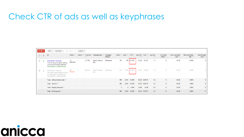#### Check CTR of ads as well as keyphrases

| $+ AD -$ | Edit $\star$<br>Automate -                                                                                                              | More actions $\blacktriangledown$ | Labels $\blacktriangledown$ |          |                        |                     |                        |              |        |                 |               |                                 |                                  |                                        |                                   |                         |
|----------|-----------------------------------------------------------------------------------------------------------------------------------------|-----------------------------------|-----------------------------|----------|------------------------|---------------------|------------------------|--------------|--------|-----------------|---------------|---------------------------------|----------------------------------|----------------------------------------|-----------------------------------|-------------------------|
|          | Ad                                                                                                                                      | Status <sup>?</sup>               | Labels <sup>?</sup>         | % Served | Campaign type ?        | Campaign<br>subtype | Clicks ? Impr. ? CTR ? |              |        | Avg. CPC Cost ? |               | Avg. Pos.<br>$\left  \right.$ ? | Converted<br>clicks <sup>?</sup> | Cost / converted<br>click <sup>?</sup> | <b>Click conversion</b><br>rate ? | View-through<br>conv. ? |
|          | McDonald's Franchises<br>Find out more info about starting<br>your own McDonald's franchise.<br>franchiseinfo.co.uk/McDonalds           | Approved                          | ж.                          | 31.13%   | Search Network<br>only | All features        | 167                    | 760          | 21.97% | £0.32           | £53.67        | 1.1                             | 0                                | £0.00                                  | 0.00%                             |                         |
| 0        | <b>McDonald's Franchises</b><br>Get expert legal & financial advice<br>on starting your own franchise.<br>franchiseinfo.co.uk/McDonalds | Paused                            | $\sim$                      | 68.87%   | Search Network<br>only | All features        | 233                    | 1,681        | 13.86% | £0.33           | £76.04        | 1.2                             | $\Omega$                         | £0.00                                  | 0.00%                             | $\Omega$                |
|          | Total - all but deleted ads ?                                                                                                           |                                   |                             |          |                        |                     | 400                    | 2.441        | 16.39% |                 | £0.32 £129.71 | 1.2                             | $\bf{0}$                         | £0.00                                  | 0.00%                             | $\bf{0}$                |
|          | Total - Search <sup>?</sup>                                                                                                             |                                   |                             |          |                        |                     | 400                    | 2,441        | 16.39% |                 | £0.32 £129.71 | 1.2                             | $\bf{0}$                         | £0.00                                  | 0.00%                             | $\bf{0}$                |
|          | <b>Total - Display Network ?</b>                                                                                                        |                                   |                             |          |                        |                     | $\bf{0}$               | $\mathbf{0}$ | 0.00%  | £0.00           | £0.00         | 0.0                             | $\bf{0}$                         | £0.00                                  | 0.00%                             | $\bf{0}$                |
|          | Total - all ad group ?                                                                                                                  |                                   |                             |          |                        |                     | 400                    | 2,441        | 16.39% |                 | £0.32 £129.71 | 1.2                             | $\bf{0}$                         | £0.00                                  | 0.00%                             | $\mathbf{0}$            |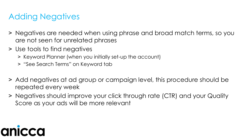#### Adding Negatives

- ˃ Negatives are needed when using phrase and broad match terms, so you are not seen for unrelated phrases
- ˃ Use tools to find negatives
	- ˃ Keyword Planner (when you initially set-up the account)
	- ˃ "See Search Terms" on Keyword tab
- ˃ Add negatives at ad group or campaign level, this procedure should be repeated every week
- ˃ Negatives should improve your click through rate (CTR) and your Quality Score as your ads will be more relevant

# anic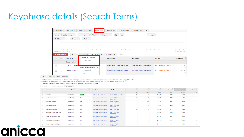#### Keyphrase details (Search Terms)

|                                |                                                                          | All but deleted keywords $\sim$                |                                   | Segment $\sim$                                                                                           | Filter $\star$<br>Columns $\sim$                       | $\sim$<br>土                                                                                                                                                                                                                                                                                                                             |                      | Search                 |                     |                |                   |  |
|--------------------------------|--------------------------------------------------------------------------|------------------------------------------------|-----------------------------------|----------------------------------------------------------------------------------------------------------|--------------------------------------------------------|-----------------------------------------------------------------------------------------------------------------------------------------------------------------------------------------------------------------------------------------------------------------------------------------------------------------------------------------|----------------------|------------------------|---------------------|----------------|-------------------|--|
|                                |                                                                          | $\blacksquare$ Clicks $\blacktriangleright$    | None $\star$<br><b>VS</b>         | Daily $\blacktriangleright$                                                                              |                                                        |                                                                                                                                                                                                                                                                                                                                         |                      |                        |                     |                |                   |  |
|                                |                                                                          |                                                |                                   |                                                                                                          |                                                        |                                                                                                                                                                                                                                                                                                                                         |                      |                        |                     |                |                   |  |
|                                |                                                                          |                                                |                                   |                                                                                                          |                                                        |                                                                                                                                                                                                                                                                                                                                         |                      |                        |                     |                |                   |  |
|                                |                                                                          | $\Omega$ $\bullet$<br>Wednesday, June 18, 2014 |                                   |                                                                                                          |                                                        |                                                                                                                                                                                                                                                                                                                                         |                      |                        |                     |                | Thursday, July    |  |
|                                |                                                                          | + KEYWORDS                                     | Edit $\star$                      |                                                                                                          | Details $\star$ Bid strategy $\star$                   | Automate $\sim$<br>Labels $\star$                                                                                                                                                                                                                                                                                                       |                      |                        |                     |                |                   |  |
|                                | 0                                                                        | ×                                              | Keyword                           | <b>SEARCH TERMS</b>                                                                                      |                                                        | Campaign                                                                                                                                                                                                                                                                                                                                | Ad group             |                        | Status <sup>?</sup> |                | Max. CPC ?        |  |
|                                |                                                                          |                                                | Total - all acco                  | Selected                                                                                                 |                                                        |                                                                                                                                                                                                                                                                                                                                         |                      |                        |                     |                |                   |  |
|                                | $\Box$                                                                   |                                                | "business grant                   | All<br><b>AUCTION INSIGHTS</b>                                                                           |                                                        | Web development Leicester                                                                                                                                                                                                                                                                                                               |                      | Web development grants | Campaign paused     |                | £2.01             |  |
|                                | $\Box$                                                                   |                                                | "small business"                  | Selected                                                                                                 |                                                        | Web development Leicester                                                                                                                                                                                                                                                                                                               |                      | Web development grants | Campaign paused     |                | £2.01             |  |
|                                |                                                                          |                                                |                                   | All                                                                                                      |                                                        |                                                                                                                                                                                                                                                                                                                                         |                      |                        |                     |                |                   |  |
| $\leftarrow$                   | Segment v Filter v Columns v<br>Add as keyword   Add as negative keyword |                                                | Download                          | To make sure you can see data in this report, choose a date range that includes clicks on your keywords. |                                                        | Learn how customers are finding your ad. With the Search terms report, you can see the actual searches people entered on Google Search and other Search Network sites<br>that triggered your ad and led to a click. Depending on your keyword match types, this list might include terms other than exact matches to your keywords. [2] |                      |                        |                     |                |                   |  |
| Search term                    |                                                                          |                                                | Match type ?                      | Added / Excluded 7                                                                                       | Campaign                                               | Ad group                                                                                                                                                                                                                                                                                                                                | Clicks <sup>?</sup>  | $Impr.$ ?              | CTR <sub>2</sub>    | Avg. CPC $7 +$ | Cost <sub>2</sub> |  |
|                                |                                                                          |                                                |                                   |                                                                                                          |                                                        |                                                                                                                                                                                                                                                                                                                                         | 73                   | 4,580                  | 1.59%               | £2.38          | £173.97           |  |
| $\Box$<br>$\qquad \qquad \Box$ | web design<br>web designers leicester                                    |                                                | <b>Exact match</b><br>Broad match | <b>Added</b><br>None                                                                                     | Web development Leicester<br>Web development Leicester | Design - design a website<br>Develop - Website                                                                                                                                                                                                                                                                                          | -6<br>$\overline{3}$ | 42<br>$_{9}$           | 14.29%<br>33.33%    | £3.33<br>£3.73 | £19.99<br>£11.19  |  |
| $\Box$                         | web design leicester                                                     |                                                | <b>Broad match</b>                | None                                                                                                     | Web development Leicester                              | development<br>Develop - Website                                                                                                                                                                                                                                                                                                        | $\overline{3}$       | 196                    | 1.53%               | £2.76          | £8.27             |  |
| $\Box$                         | leicester web design                                                     |                                                | Broad match                       | None                                                                                                     | Web development Leicester                              | development<br>Develop - Website                                                                                                                                                                                                                                                                                                        | $\overline{2}$       | 29                     | 6.90%               | £3.06          | £6.11             |  |
|                                | leicester web designers                                                  |                                                | <b>Broad match</b>                | None                                                                                                     | Web development Leicester                              | development<br>Develop - Leicester                                                                                                                                                                                                                                                                                                      | $\overline{2}$       | $\overline{2}$         | 100.00%             | £2.22          | £4.44             |  |
| $\Box$<br>$\Box$               | web design courses in leicester                                          |                                                | <b>Broad match</b>                | None                                                                                                     | Web development Leicester                              | Develop - Website                                                                                                                                                                                                                                                                                                                       | $\mathbf{1}$         | $\blacksquare$         | 100.00%             | £4.00          | £4.00             |  |
| $\Box$                         | creative offshore web designer                                           |                                                | <b>Broad match</b>                | None                                                                                                     | Web development Leicester                              | development<br>Develop - Website                                                                                                                                                                                                                                                                                                        | $\mathbf{1}$         | $\mathbf{1}$           | 100.00%             | £3.99          | £3.99             |  |
| $\Box$                         | cheap web design in leicester                                            |                                                | <b>Broad match</b>                | None                                                                                                     | Web development Leicester                              | development<br>Develop - Website                                                                                                                                                                                                                                                                                                        | -1                   | $\overline{4}$         | 25.00%              | £3.97          | £3.97             |  |
| $\Box$                         | internet webdesign in leicester                                          |                                                | <b>Broad match</b>                | None                                                                                                     | Web development Leicester                              | development<br>Develop - Website<br>development                                                                                                                                                                                                                                                                                         | $\mathbf{1}$         | $\blacksquare$         | 100.00%             | £3.97          | £3.97             |  |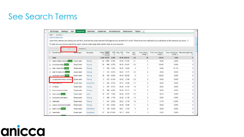#### See Search Terms

|                | <b>Ad Groups</b>                 | <b>Settings</b>                | Ads | <b>Keywords</b>                                                                                          | <b>Networks</b> | <b>Audiences</b> |              | <b>Ad extensions</b> |                     | <b>Dimensions</b> |              | $\overline{\phantom{a}}$<br><b>Topics</b> |                                                                                                                                                                                                |              |                                              |
|----------------|----------------------------------|--------------------------------|-----|----------------------------------------------------------------------------------------------------------|-----------------|------------------|--------------|----------------------|---------------------|-------------------|--------------|-------------------------------------------|------------------------------------------------------------------------------------------------------------------------------------------------------------------------------------------------|--------------|----------------------------------------------|
|                | Columns $\sim$<br>Filter $\star$ |                                |     |                                                                                                          |                 |                  |              |                      |                     |                   |              |                                           |                                                                                                                                                                                                |              |                                              |
|                | « Back to Keywords               |                                |     |                                                                                                          |                 |                  |              |                      |                     |                   |              |                                           |                                                                                                                                                                                                |              |                                              |
|                |                                  |                                |     |                                                                                                          |                 |                  |              |                      |                     |                   |              |                                           | Learn how customers are finding your ad! Here, you'll see the actual searches that triggered your ad and led to a click. These terms were matched to your ads based on the keywords you chose. |              |                                              |
|                |                                  |                                |     | To make sure you can see data in this report, choose a date range that includes clicks on your keywords. |                 |                  |              |                      |                     |                   |              |                                           |                                                                                                                                                                                                |              |                                              |
|                | Add as keyword                   | Add as negative keywor         |     | Download                                                                                                 |                 |                  |              |                      |                     |                   |              |                                           |                                                                                                                                                                                                |              |                                              |
| $\Box$         | Search term                      |                                |     | <b>Match type</b>                                                                                        | Ad group        | (2)              | Clicks Impr. | (2)                  | CTR Avg. CPC<br>(2) | Cost              | Avg.<br>Pos. | Conv. (1-per-<br>click) $2$               | Cost / conv. (1-per-<br>$click)$ $@$                                                                                                                                                           | $click)$ $@$ | Conv. rate (1-per- View-through Conv.<br>(2) |
|                | <b>Total</b>                     |                                |     |                                                                                                          |                 |                  | 1,290 51,707 | 2.49%                |                     | £0.50 £647.67     | 2.8          | 39                                        | £16.61                                                                                                                                                                                         | 3.02%        | $\mathbf{0}$                                 |
|                |                                  | trades & labour training Added |     | Exact match                                                                                              | Training        | 45               | 1,882        | 2.39%                |                     | £0.38 £16.91      | 2.1          | $\overline{2}$                            | £8.46                                                                                                                                                                                          | 4.44%        | 0                                            |
| $\Box$         |                                  | vocational training Added      |     | <b>Broad match</b>                                                                                       | Training        | 20               | 880          | 2.27%                |                     | £0.52 £10.47      | 2.2          | $\mathbf{1}$                              | £10.47                                                                                                                                                                                         | 5.00%        | $\mathbf{0}$                                 |
| $\Box$         |                                  | train 4 trade skills Added     |     | <b>Broad match</b>                                                                                       | Training        | 9                | 856          | 1.05%                | £0.32               | £2.84             | 3            | $\mathbf{1}$                              | £2.84                                                                                                                                                                                          | 11.11%       | $\bf{0}$                                     |
|                |                                  | train for trade skills Added   |     | Exact match                                                                                              | <b>Training</b> | $\overline{7}$   | 744          | 0.94%                | £0.24               | £1.71             | 3.6          | $\mathbf 0$                               | £0.00                                                                                                                                                                                          | 0.00%        | $\bf{0}$                                     |
|                |                                  | vocational courses Added       |     | Exact match                                                                                              | <b>Training</b> | 48               | 724          | 6.63%                |                     | £0.42 £20.20      | 2            | $\mathbf{1}$                              | £20.20                                                                                                                                                                                         | 2.08%        | $\mathbf{0}$                                 |
|                |                                  | occupational therapy courses   |     | <b>Broad match</b>                                                                                       | Training        | 2                | 613          | 0.33%                | £0.52               | £1.04             | 4.2          | $\mathbf 0$                               | £0.00                                                                                                                                                                                          | 0.00%        | 0                                            |
|                | <b>TUGGE SKIIS 4 U</b>           |                                |     | <b>Broad match</b>                                                                                       | Competitors     | 2                | 364          | 0.55%                | £0.34               | £0.68             | 3.7          | $\mathbf 0$                               | £0.00                                                                                                                                                                                          | 0.00%        | $\mathbf 0$                                  |
| $\Box$         | vt training                      |                                |     | <b>Broad match</b>                                                                                       | Training        | 3                | 331          | 0.91%                | £0.48               | £1.43             | 1.9          | $\mathbf 0$                               | £0.00                                                                                                                                                                                          | 0.00%        | $\bf{0}$                                     |
|                | how to become a trader           |                                |     | <b>Broad match</b>                                                                                       | Training        | 13               | 268          | 4.85%                |                     | £0.86 £11.17      | 1.3          | $\mathbf 0$                               | £0.00                                                                                                                                                                                          | 0.00%        | $\bf{0}$                                     |
| $\Box$         | learn a trade Added              |                                |     | Exact match                                                                                              | Learn           | 19               | 257          | 7.39%                | £0.46               | £8.79             | 3.2          | $\blacktriangleleft$                      | £8.79                                                                                                                                                                                          | 5.26%        | $\bf{0}$                                     |
|                | vocational qualifications        |                                |     | <b>Broad match</b>                                                                                       | <b>Training</b> | 3                | 256          | 1.17%                | £0.46               | £1.39             | 1.5          | 0                                         | £0.00                                                                                                                                                                                          | 0.00%        | 0                                            |
|                | train4trade                      |                                |     | <b>Broad match</b>                                                                                       | Training        | 7                | 241          | 2.90%                | £0.24               | £1.70             | 1.9          | $\mathbf{1}$                              | £1.70                                                                                                                                                                                          | 14.29%       | 0                                            |
|                |                                  | courses construction trades    |     | <b>Broad match</b>                                                                                       | Training        | 0                | 221          | 0.00%                | £0.00               | £0.00             | 1.1          | 0                                         | £0.00                                                                                                                                                                                          | 0.00%        | $\mathbf{0}$                                 |
|                | trade 4 skills Added             |                                |     | Exact match                                                                                              | Competitors     | 5                | 189          | 2.65%                | £0.21               | £1.03             | 3            | $\mathbf 0$                               | £0.00                                                                                                                                                                                          | 0.00%        | $\mathbf{0}$                                 |
| $\blacksquare$ | trade4skills                     |                                |     | <b>Broad match</b>                                                                                       | Competitors     | 57               |              | 152 37.50%           | £0.17               | £9.63             | 1            | $\overline{3}$                            | £3.21                                                                                                                                                                                          | 5.26%        | 0                                            |
|                |                                  |                                |     |                                                                                                          |                 |                  |              |                      |                     |                   |              |                                           |                                                                                                                                                                                                |              |                                              |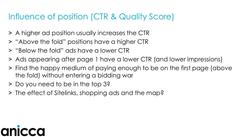#### Influence of position (CTR & Quality Score)

- ˃ A higher ad position usually increases the CTR
- ˃ "Above the fold" positions have a higher CTR
- ˃ "Below the fold" ads have a lower CTR
- ˃ Ads appearing after page 1 have a lower CTR (and lower impressions)
- ˃ Find the happy medium of paying enough to be on the first page (above the fold) without entering a bidding war
- ˃ Do you need to be in the top 3?
- ˃ The effect of Sitelinks, shopping ads and the map?

# a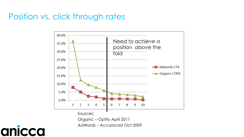#### Position vs. click through rates



Sources:

Organic – Optify April 2011 AdWords – Accuracast Oct 2009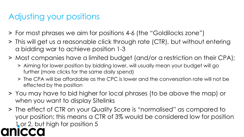#### Adjusting your positions

- ˃ For most phrases we aim for positions 4-6 (the "Goldilocks zone")
- ˃ This will get us a reasonable click through rate (CTR), but without entering a bidding war to achieve position 1-3
- ˃ Most companies have a limited budget (and/or a restriction on their CPA);
	- ˃ Aiming for lower position by bidding lower, will usually mean your budget will go further (more clicks for the same daily spend)
	- ˃ The CPA will be affordable as the CPC is lower and the conversation rate will not be effected by the position
- ˃ You may have to bid higher for local phrases (to be above the map) or when you want to display Sitelinks
- ˃ The effect of CTR on your Quality Score is "normalised" as compared to your position; this means a CTR of 3% would be considered low for position 1 or 2, but high for position 5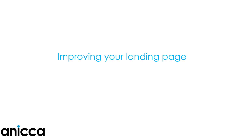### anicca

### Improving your landing page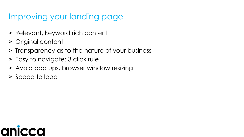#### Improving your landing page

- ˃ Relevant, keyword rich content
- > Original content
- ˃ Transparency as to the nature of your business
- > Easy to navigate: 3 click rule
- > Avoid pop ups, browser window resizing
- ˃ Speed to load

### $\mathbf C$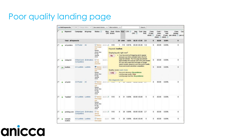#### Poor quality landing page

|   |   | + Add keywords       | Edit                                   | Change status w | See search terms v.                                                                     |         | More actions w                                                                                                                                                 |              |          |                                                                                               |                                                                                                                                                                                                        |               | Search       |                                       |                                               |                                 |                                                |     |  |             |       |       |          |  |
|---|---|----------------------|----------------------------------------|-----------------|-----------------------------------------------------------------------------------------|---------|----------------------------------------------------------------------------------------------------------------------------------------------------------------|--------------|----------|-----------------------------------------------------------------------------------------------|--------------------------------------------------------------------------------------------------------------------------------------------------------------------------------------------------------|---------------|--------------|---------------------------------------|-----------------------------------------------|---------------------------------|------------------------------------------------|-----|--|-------------|-------|-------|----------|--|
|   |   | Keyword              | Campaign                               | Ad group        | Status (?)                                                                              |         | <b>CPC Score</b>                                                                                                                                               |              |          | Max. Qual. Clicks Impr. CTR 2                                                                 | Ava.<br>CPC (?)                                                                                                                                                                                        | Cost          | Awa.<br>Pos. | Corw.<br>$(1-per -$<br>$click)$ $(2)$ | Cost /<br>conv.<br>$(1-per -$<br>$click)$ $2$ | Comv.<br>rate<br>$click)$ $(2)$ | Conv.<br>(many-<br>(1-per- per-click) 2 per-cl | Cos |  |             |       |       |          |  |
|   |   | Total - all keywords |                                        |                 |                                                                                         |         | --                                                                                                                                                             |              | 20 1,965 | 1.02%                                                                                         | £0.35 £7.05                                                                                                                                                                                            |               | 2.5          | $\bf{0}$                              | 60.00                                         | 0.00%                           | o                                              |     |  |             |       |       |          |  |
| п |   | a4 posters           | 3.0 Poster                             | A4              | Below £0.51                                                                             |         | 1/10                                                                                                                                                           |              | 110      | 0.91%                                                                                         | £0.26 £0.26                                                                                                                                                                                            |               | 1.9          | o                                     | £0.00                                         | 0.00%                           | Ü.                                             |     |  |             |       |       |          |  |
|   |   |                      |                                        |                 | first page<br>bid.<br>Rarely<br>shown due                                               |         | Keyword: leaflets<br>Displaying ads right now?                                                                                                                 |              |          |                                                                                               |                                                                                                                                                                                                        |               |              |                                       |                                               |                                 |                                                |     |  |             |       |       |          |  |
|   |   |                      |                                        |                 | to low<br>quality<br>score                                                              |         | No                                                                                                                                                             |              |          | . Your keyword isn't triggering ads to appear<br>because your bid is probably below the first |                                                                                                                                                                                                        |               |              |                                       |                                               |                                 |                                                |     |  |             |       |       |          |  |
| п | ۰ | vistaprint           | 0 Brand and (Estimates)<br>Competitors |                 | <b>DA</b><br>group<br>paused                                                            | £0.51   |                                                                                                                                                                |              |          |                                                                                               | page bid estimate. The first page bid estimate<br>approximates the cost-per-click (CPC) bid needed<br>for your ad to reach the first page of Google<br>search results, based on your keyword's Quality |               |              | O                                     | £0.00                                         | 0.00%                           | 0                                              |     |  |             |       |       |          |  |
| г |   | leaflets             | 4.0 Leaflets Leaflets                  |                 |                                                                                         |         |                                                                                                                                                                |              |          |                                                                                               | <b>Below</b><br>first page                                                                                                                                                                             | £0.51         |              |                                       |                                               |                                 | Score and recent advertiser competition.       |     |  | $\mathbf 0$ | £0.00 | 0.00% | $\alpha$ |  |
|   |   |                      |                                        |                 | bid<br>Rarely<br>shown due<br>to low<br>quality<br>score                                |         | Quality score Learn more<br>Keyword relevance: No problems<br>1/10<br>Landing page quality: Poor<br>Landing page load time: No problems<br>Ads diagnostic tool |              |          |                                                                                               |                                                                                                                                                                                                        |               |              |                                       |                                               |                                 |                                                |     |  |             |       |       |          |  |
| г |   | a3 print             | 3.0 Poster                             | A3              | Below £0.51<br>first page<br>bid<br>Rarely<br>shown due<br>to low<br>quality<br>score   |         |                                                                                                                                                                | w            |          | <b>UCURIA</b>                                                                                 |                                                                                                                                                                                                        | <b>ALMONT</b> |              | ō                                     | £0.00                                         | 0.00%                           | 0                                              |     |  |             |       |       |          |  |
|   |   | "leaflets"           | 4.0 Leaflets Leaflets                  |                 | Below £0.51 A<br>first page<br>bld<br>Rarely<br>shown due<br>to low<br>quality<br>score |         | 1/10                                                                                                                                                           | $\Omega$     | 31       | 0.00%                                                                                         | €0.00 £0.00                                                                                                                                                                                            |               | 5            | $\mathbf 0$                           | £0.00                                         | 0.00%                           | $\bf{0}$                                       |     |  |             |       |       |          |  |
| г |   | printing.com         | 0 Brand and (Estimates)<br>Competitors |                 | $\Box$ Ad<br>group<br>paused                                                            | £0.51 M | 1/10                                                                                                                                                           | $\mathbf{0}$ | 28       | 0.00%                                                                                         | £0.00 £0.00                                                                                                                                                                                            |               | 2.7          | O                                     | £0.00                                         | 0.00%                           | 0                                              |     |  |             |       |       |          |  |
| г |   | sample<br>leaflets   | 4.0 Leaflets Leaflets                  |                 | <b>D</b> Below<br>first page                                                            | £0.51   | 1/10                                                                                                                                                           | 1            | 20       | 5.00%                                                                                         | £0.45 £0.45                                                                                                                                                                                            |               | 5            | û                                     | £0.00                                         | 0.00%                           | 0                                              |     |  |             |       |       |          |  |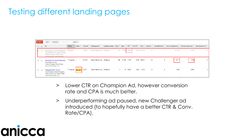#### Testing different landing pages



- > Lower CTR on Champion Ad, however conversion rate and CPA is much better.
- > Underperforming ad paused, new Challenger ad introduced (to hopefully have a better CTR & Conv. Rate/CPA).

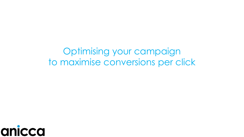Optimising your campaign to maximise conversions per click

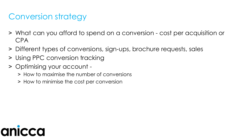#### Conversion strategy

- ˃ What can you afford to spend on a conversion cost per acquisition or CPA
- ˃ Different types of conversions, sign-ups, brochure requests, sales
- > Using PPC conversion tracking
- ˃ Optimising your account
	- ˃ How to maximise the number of conversions
	- ˃ How to minimise the cost per conversion

# anic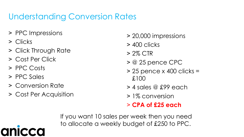#### Understanding Conversion Rates

- > PPC Impressions
- ˃ Clicks
- ˃ Click Through Rate
- ˃ Cost Per Click
- ˃ PPC Costs
- > PPC Sales

Q

- ˃ Conversion Rate
- ˃ Cost Per Acquisition
- ˃ 20,000 impressions
- ˃ 400 clicks
- $> 2\%$  CTR
- $>$  @ 25 pence CPC
- $>$  25 pence x 400 clicks = £100
- ˃ 4 sales @ £99 each
- ˃ 1% conversion

#### ˃ **CPA of £25 each**

If you want 10 sales per week then you need to allocate a weekly budget of £250 to PPC.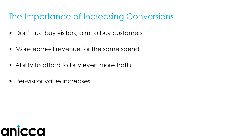#### The Importance of Increasing Conversions

- ˃ Don't just buy visitors, aim to buy customers
- ˃ More earned revenue for the same spend
- > Ability to afford to buy even more traffic
- > Per-visitor value increases

### anice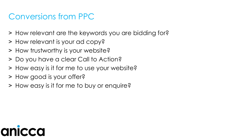#### Conversions from PPC

- ˃ How relevant are the keywords you are bidding for?
- ˃ How relevant is your ad copy?
- ˃ How trustworthy is your website?
- ˃ Do you have a clear Call to Action?
- ˃ How easy is it for me to use your website?
- > How good is your offer?
- ˃ How easy is it for me to buy or enquire?

# O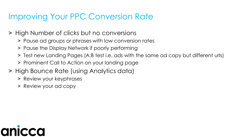#### Improving Your PPC Conversion Rate

- ˃ High Number of clicks but no conversions
	- ˃ Pause ad groups or phrases with low conversion rates
	- > Pause the Display Network if poorly performing
	- ˃ Test new Landing Pages (A:B test i.e. ads with the same ad copy but different urls)
	- ˃ Prominent Call to Action on your landing page
- ˃ High Bounce Rate (using Analytics data)
	- ˃ Review your keyphrases
	- ˃ Review your ad copy

# a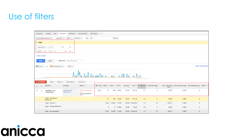#### Use of filters

| Ad groups                                              | Ads<br>Keywords<br><b>Settings</b>                                                                        | <b>Audiences</b>            | <b>Ad extensions</b><br><b>Dimensions</b>                           | $\mathbf{v}$            |              |                    |                  |          |                 |                       |                                           |                    |                                                                             |               |                    |
|--------------------------------------------------------|-----------------------------------------------------------------------------------------------------------|-----------------------------|---------------------------------------------------------------------|-------------------------|--------------|--------------------|------------------|----------|-----------------|-----------------------|-------------------------------------------|--------------------|-----------------------------------------------------------------------------|---------------|--------------------|
|                                                        | $\sim$<br>$\pm$<br>All but deleted keywords *<br>Filter $\star$<br>Columns -<br>Search<br>Segment $\star$ |                             |                                                                     |                         |              |                    |                  |          |                 |                       |                                           |                    |                                                                             |               |                    |
| Filter                                                 |                                                                                                           |                             |                                                                     |                         |              |                    |                  |          |                 |                       |                                           |                    |                                                                             |               |                    |
|                                                        | $\times$<br>$1\%$<br>Conv. rate $\sqrt{*}$<br>$<$ $\,$ $\,$ $\,$                                          |                             |                                                                     |                         |              |                    |                  |          |                 |                       |                                           |                    |                                                                             |               |                    |
| Cost                                                   | $> -$ £<br>15<br>$\times$<br>$\mathbf{v}$                                                                 |                             |                                                                     |                         |              |                    |                  |          |                 |                       |                                           |                    |                                                                             |               |                    |
|                                                        | + Add another                                                                                             |                             |                                                                     |                         |              |                    |                  |          |                 |                       |                                           |                    |                                                                             |               |                    |
| Save filter Enter filter name<br>Clear<br><b>Apply</b> |                                                                                                           |                             |                                                                     |                         |              |                    |                  |          |                 |                       |                                           |                    |                                                                             |               |                    |
| $\blacksquare$ Clicks $\blacktriangledown$             | $\blacksquare$ Converted clicks $\blacktriangledown$<br><b>VS</b>                                         | Daily $\blacktriangledown$  |                                                                     |                         |              |                    |                  |          |                 |                       |                                           |                    |                                                                             |               | View Change Histor |
|                                                        |                                                                                                           |                             |                                                                     |                         |              |                    |                  |          |                 |                       |                                           |                    |                                                                             |               |                    |
|                                                        |                                                                                                           |                             |                                                                     |                         |              |                    |                  |          |                 |                       |                                           |                    |                                                                             |               |                    |
| $0 -$<br>Wednesday, February 5, 2.                     |                                                                                                           |                             |                                                                     |                         |              |                    |                  |          |                 | Friday, July 18, 2014 |                                           |                    |                                                                             |               |                    |
| + KEYWORDS                                             | Edit $\star$<br>Details $\blacktriangledown$                                                              | Bid strategy $\star$        | Labels $\star$<br>Automate -                                        |                         |              |                    |                  |          |                 |                       |                                           |                    |                                                                             |               |                    |
| $\Box$<br>$\bullet$                                    | Keyword                                                                                                   | Ad group                    | Status <sup>?</sup>                                                 | Max. CPC Clicks ?<br> 7 |              | Impr. $?$ CTR $?$  |                  | Avg. CPC |                 |                       | Cost ? ↓ Avg. Pos. Converted clicks<br> ? | click <sup>?</sup> | Cost / converted  Click conversion rate  View-through conv. Labels  7<br> 7 | $\mathcal{P}$ |                    |
| $\Box$<br>٠                                            | +graduate +jobs<br>+manchester                                                                            | Graduate Jobs<br>Manchester | <b>Below first page</b><br>bid<br>First page bid estimate:<br>£0.25 | £0.17<br>∠              | 57           |                    | 592 9.63%        | £0.55    | £31.54          | 2.1                   | $\mathbf{0}$                              | £0.00              | 0.00%                                                                       |               | $0 -$              |
|                                                        | <b>Total - all filtered</b><br>keywords                                                                   |                             |                                                                     |                         | 57           | 592                | 9.63%            | £0.55    | £31.54          | 2.1                   | $\bf{0}$                                  | £0.00              | 0.00%                                                                       | $\bf{0}$      |                    |
|                                                        | Total - Search ?                                                                                          |                             |                                                                     |                         | 3,143        | 34,451 9.12%       |                  |          | £0.50 £1,563.82 | 1.7                   | 72                                        | £21.72             | 2.29%                                                                       | $\bf{0}$      |                    |
|                                                        | <b>Total - Display Network</b><br>$\sqrt{2}$                                                              |                             |                                                                     |                         | $\mathbf{0}$ |                    | $0\qquad 0.00\%$ | £0.00    | £0.00           | 0.0                   | $\bf{0}$                                  | £0.00              | 0.00%                                                                       | $\bf{0}$      |                    |
|                                                        | Total - all campaign ?                                                                                    |                             |                                                                     |                         |              | 3,143 34,451 9.12% |                  |          | £0.50 £1,563.82 | 1.7                   | 72                                        | £21.72             | 2.29%                                                                       | $\bf{0}$      |                    |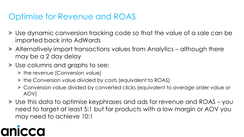#### Optimise for Revenue and ROAS

- ˃ Use dynamic conversion tracking code so that the value of a sale can be imported back into AdWords
- ˃ Alternatively import transactions values from Analytics although there may be a 2 day delay
- ˃ Use columns and graphs to see:
	- > the revenue (Conversion value)
	- ˃ the Conversion value divided by costs (equivalent to ROAS)
	- ˃ Conversion value divided by converted clicks (equivalent to average order value or AOV)
- ˃ Use this data to optimise keyphrases and ads for revenue and ROAS you need to target at least 5:1 but for products with a low margin or AOV you may need to achieve 10:1

## $\overline{\mathbf{C}}$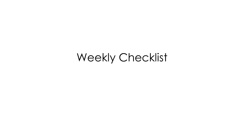### Weekly Checklist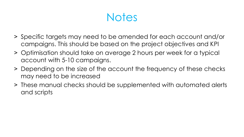**Notes** 

- ˃ Specific targets may need to be amended for each account and/or campaigns. This should be based on the project objectives and KPI
- ˃ Optimisation should take on average 2 hours per week for a typical account with 5-10 campaigns.
- > Depending on the size of the account the frequency of these checks may need to be increased
- ˃ These manual checks should be supplemented with automated alerts and scripts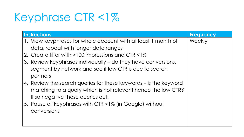### Keyphrase CTR <1%

| <b>Instructions</b>                                                                                                                                                   | <b>Frequency</b> |
|-----------------------------------------------------------------------------------------------------------------------------------------------------------------------|------------------|
| 1. View keyphrases for whole account with at least 1 month of<br>data, repeat with longer date ranges                                                                 | Weekly           |
| 2. Create filter with >100 impressions and CTR <1%                                                                                                                    |                  |
| 3. Review keyphrases individually – do they have conversions,<br>segment by network and see if low CTR is due to search<br>partners                                   |                  |
| 4. Review the search queries for these keywords – is the keyword<br>matching to a query which is not relevant hence the low CTR?<br>If so negative these queries out. |                  |
| 5. Pause all keyphrases with CTR <1% (in Google) without<br>conversions                                                                                               |                  |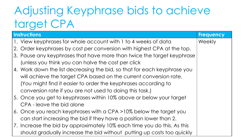### Adjusting Keyphrase bids to achieve target CPA

| <b>Instructions</b>                                                      | <b>Frequency</b> |
|--------------------------------------------------------------------------|------------------|
| 1. View keyphrases for whole account with 1 to 4 weeks of data           | Weekly           |
| 2. Order keyphrases by cost per conversion with highest CPA at the top.  |                  |
| 3. Pause any keyphrases that have more than twice the target keyphrase   |                  |
| (unless you think you can halve the cost per click)                      |                  |
| 4. Work down the list decreasing the bid, so that for each keyphrase you |                  |
| will achieve the target CPA based on the current conversion rate.        |                  |
| (You might find it easier to order the keyphrases according to           |                  |
| conversion rate if you are not used to doing this task.)                 |                  |
| 5. Once you get to keyphrases within 10% above or below your target      |                  |
| CPA - leave the bid alone                                                |                  |
| 6. Once you reach keyphrases with a CPA >10% below the target you        |                  |
| can start increasing the bid if they have a position lower than 2.       |                  |
| 7. Increase the bid by approximately 10% each time you do this. As this  |                  |
| should gradually increase the bid without putting up costs too quickly   |                  |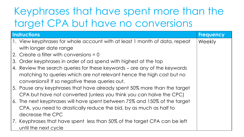### Keyphrases that have spent more than the target CPA but have no conversions

| <b>Instructions</b>                                                        | <b>Frequency</b> |
|----------------------------------------------------------------------------|------------------|
| 1. View keyphrases for whole account with at least 1 month of data, repeat | Weekly           |
| with longer date range                                                     |                  |
| 2. Create a filter with conversions $= 0$                                  |                  |
| 3. Order keyphrases in order of ad spend with highest at the top           |                  |
| 4. Review the search queries for these keywords – are any of the keywords  |                  |
| matching to queries which are not relevant hence the high cost but no      |                  |
| conversions? If so negative these queries out.                             |                  |
| 5. Pause any keyphrases that have already spent 50% more than the target   |                  |
| CPA but have not converted (unless you think you can halve the CPC)        |                  |
| 6. The next keyphrases will have spent between 75% and 150% of the target  |                  |
| CPA, you need to drastically reduce the bid, by as much as half to         |                  |
| decrease the CPC                                                           |                  |
| 7. Keyphrases that have spent less than 50% of the target CPA can be left  |                  |
| until the next cycle                                                       |                  |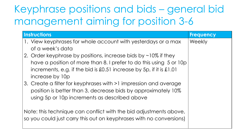### Keyphrase positions and bids – general bid management aiming for position 3-6

| <b>Instructions</b>                                                 | <b>Frequency</b> |
|---------------------------------------------------------------------|------------------|
| 1. View keyphrases for whole account with yesterdays or a max       | Weekly           |
| of a week's data                                                    |                  |
| 2. Order keyphrase by positions, increase bids by ~10% if they      |                  |
| have a position of more than 8. I prefer to do this using 5 or 10p  |                  |
| increments, e.g. if the bid is £0.51 increase by 5p, if it is £1.01 |                  |
| increase by 10p                                                     |                  |
| 3. Create a filter for keyphrases with >1 impression and average    |                  |
| position is better than 3, decrease bids by approximately 10%       |                  |
| using 5p or 10p increments as described above                       |                  |
|                                                                     |                  |
| Note: this technique can conflict with the bid adjustments above,   |                  |
| so you could just carry this out on keyphrases with no conversions) |                  |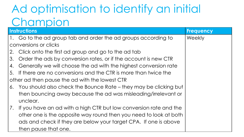### Ad optimisation to identify an initial Champion

| <b>Instructions</b> |                                                                     | <b>Frequency</b> |
|---------------------|---------------------------------------------------------------------|------------------|
|                     | 1. Go to the ad group tab and order the ad groups according to      | Weekly           |
|                     | conversions or clicks                                               |                  |
|                     | 2. Click onto the first ad group and go to the ad tab               |                  |
|                     | 3. Order the ads by conversion rates, or if the account is new CTR  |                  |
|                     | 4. Generally we will choose the ad with the highest conversion rate |                  |
|                     | 5. If there are no conversions and the CTR is more than twice the   |                  |
|                     | other ad then pause the ad with the lowest CTR                      |                  |
|                     | 6. You should also check the Bounce Rate – they may be clicking but |                  |
|                     | then bouncing away because the ad was misleading/irrelevant or      |                  |
|                     | unclear.                                                            |                  |
| 7.                  | If you have an ad with a high CTR but low conversion rate and the   |                  |
|                     | other one is the opposite way round then you need to look at both   |                  |
|                     | ads and check if they are below your target CPA. If one is above    |                  |
|                     | then pause that one.                                                |                  |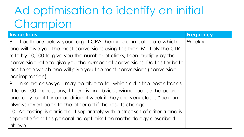### Ad optimisation to identify an initial Champion

| <b>Instructions</b>                                                           | <b>Frequency</b> |
|-------------------------------------------------------------------------------|------------------|
| 8. If both are below your target CPA then you can calculate which             | Weekly           |
| one will give you the most conversions using this trick. Multiply the CTR     |                  |
| rate by 10,000 to give you the number of clicks, then multiply by the         |                  |
| conversion rate to give you the number of conversions. Do this for both       |                  |
| ads to see which one will give you the most conversions (conversion           |                  |
| per impression)                                                               |                  |
| 9. In some cases you may be able to tell which ad is the best after as        |                  |
| little as 100 impressions, if there is an obvious winner pause the poorer     |                  |
| one, only run it for an additional week if they are very close. You can       |                  |
| always revert back to the other ad if the results change                      |                  |
| 10. Ad testing is carried out separately with a strict set-of criteria and is |                  |
| separate from this general ad optimisation methodology described              |                  |
| above                                                                         |                  |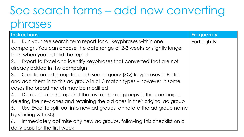### See search terms – add new converting phrases

| <b>Instructions</b>                                                             | <b>Frequency</b> |
|---------------------------------------------------------------------------------|------------------|
| Run your see search term report for all keyphrases within one<br>$\mathbf{1}$ . | Fortnightly      |
| campaign. You can choose the date range of 2-3 weeks or slightly longer         |                  |
| then when you last did the report                                               |                  |
| Export to Excel and identify keyphrases that converted that are not<br>2.       |                  |
| already added in the campaign                                                   |                  |
| Create an ad group for each seach query (SQ) keyphrases in Editor<br>3.         |                  |
| and add them in to this ad group in all 3 match types – however in some         |                  |
| cases the broad match may be modified                                           |                  |
| De-duplicate this against the rest of the ad groups in the campaign,<br>4.      |                  |
| deleting the new ones and retaining the old ones in their original ad group     |                  |
| Use Excel to split out into new ad groups, annotate the ad group name<br>5.     |                  |
| by starting with SQ                                                             |                  |
| Immediately optimise any new ad groups, following this checklist on a<br>6.     |                  |
| daily basis for the first week                                                  |                  |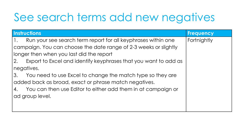### See search terms add new negatives

| <b>Instructions</b>                                                   | <b>Frequency</b> |
|-----------------------------------------------------------------------|------------------|
| Run your see search term report for all keyphrases within one<br>1.   | Fortnightly      |
| campaign. You can choose the date range of 2-3 weeks or slightly      |                  |
| longer then when you last did the report                              |                  |
| Export to Excel and identify keyphrases that you want to add as<br>2. |                  |
| negatives.                                                            |                  |
| You need to use Excel to change the match type so they are<br>3.      |                  |
| added back as broad, exact or phrase match negatives.                 |                  |
| You can then use Editor to either add them in at campaign or<br>4.    |                  |
| ad group level.                                                       |                  |
|                                                                       |                  |
|                                                                       |                  |